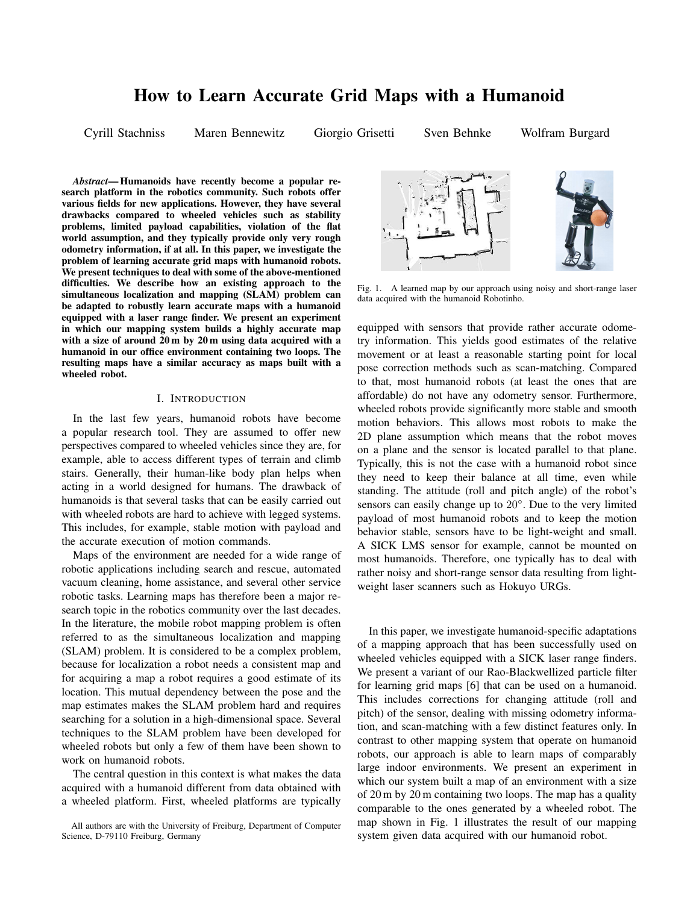# **How to Learn Accurate Grid Maps with a Humanoid**

Cyrill Stachniss Maren Bennewitz Giorgio Grisetti Sven Behnke Wolfram Burgard

*Abstract***— Humanoids have recently become a popular research platform in the robotics community. Such robots offer various fields for new applications. However, they have several drawbacks compared to wheeled vehicles such as stability problems, limited payload capabilities, violation of the flat world assumption, and they typically provide only very rough odometry information, if at all. In this paper, we investigate the problem of learning accurate grid maps with humanoid robots. We present techniques to deal with some of the above-mentioned difficulties. We describe how an existing approach to the simultaneous localization and mapping (SLAM) problem can be adapted to robustly learn accurate maps with a humanoid equipped with a laser range finder. We present an experiment in which our mapping system builds a highly accurate map with a size of around 20 m by 20 m using data acquired with a humanoid in our office environment containing two loops. The resulting maps have a similar accuracy as maps built with a wheeled robot.**

## I. INTRODUCTION

In the last few years, humanoid robots have become a popular research tool. They are assumed to offer new perspectives compared to wheeled vehicles since they are, for example, able to access different types of terrain and climb stairs. Generally, their human-like body plan helps when acting in a world designed for humans. The drawback of humanoids is that several tasks that can be easily carried out with wheeled robots are hard to achieve with legged systems. This includes, for example, stable motion with payload and the accurate execution of motion commands.

Maps of the environment are needed for a wide range of robotic applications including search and rescue, automated vacuum cleaning, home assistance, and several other service robotic tasks. Learning maps has therefore been a major research topic in the robotics community over the last decades. In the literature, the mobile robot mapping problem is often referred to as the simultaneous localization and mapping (SLAM) problem. It is considered to be a complex problem, because for localization a robot needs a consistent map and for acquiring a map a robot requires a good estimate of its location. This mutual dependency between the pose and the map estimates makes the SLAM problem hard and requires searching for a solution in a high-dimensional space. Several techniques to the SLAM problem have been developed for wheeled robots but only a few of them have been shown to work on humanoid robots.

The central question in this context is what makes the data acquired with a humanoid different from data obtained with a wheeled platform. First, wheeled platforms are typically



Fig. 1. A learned map by our approach using noisy and short-range laser data acquired with the humanoid Robotinho.

equipped with sensors that provide rather accurate odometry information. This yields good estimates of the relative movement or at least a reasonable starting point for local pose correction methods such as scan-matching. Compared to that, most humanoid robots (at least the ones that are affordable) do not have any odometry sensor. Furthermore, wheeled robots provide significantly more stable and smooth motion behaviors. This allows most robots to make the 2D plane assumption which means that the robot moves on a plane and the sensor is located parallel to that plane. Typically, this is not the case with a humanoid robot since they need to keep their balance at all time, even while standing. The attitude (roll and pitch angle) of the robot's sensors can easily change up to 20°. Due to the very limited payload of most humanoid robots and to keep the motion behavior stable, sensors have to be light-weight and small. A SICK LMS sensor for example, cannot be mounted on most humanoids. Therefore, one typically has to deal with rather noisy and short-range sensor data resulting from lightweight laser scanners such as Hokuyo URGs.

In this paper, we investigate humanoid-specific adaptations of a mapping approach that has been successfully used on wheeled vehicles equipped with a SICK laser range finders. We present a variant of our Rao-Blackwellized particle filter for learning grid maps [6] that can be used on a humanoid. This includes corrections for changing attitude (roll and pitch) of the sensor, dealing with missing odometry information, and scan-matching with a few distinct features only. In contrast to other mapping system that operate on humanoid robots, our approach is able to learn maps of comparably large indoor environments. We present an experiment in which our system built a map of an environment with a size of 20 m by 20 m containing two loops. The map has a quality comparable to the ones generated by a wheeled robot. The map shown in Fig. 1 illustrates the result of our mapping system given data acquired with our humanoid robot.

All authors are with the University of Freiburg, Department of Computer Science, D-79110 Freiburg, Germany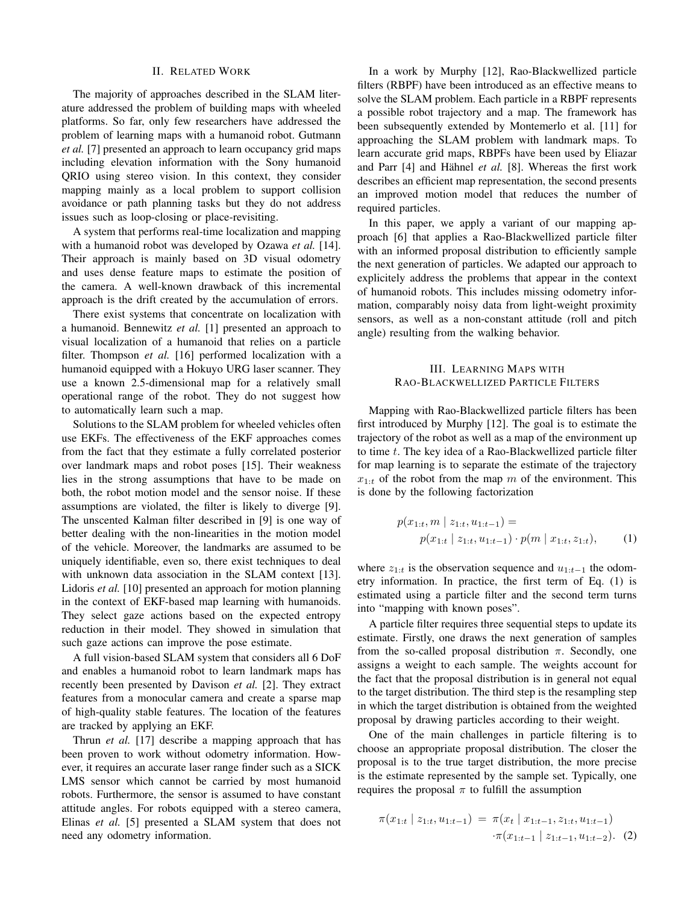#### II. RELATED WORK

The majority of approaches described in the SLAM literature addressed the problem of building maps with wheeled platforms. So far, only few researchers have addressed the problem of learning maps with a humanoid robot. Gutmann *et al.* [7] presented an approach to learn occupancy grid maps including elevation information with the Sony humanoid QRIO using stereo vision. In this context, they consider mapping mainly as a local problem to support collision avoidance or path planning tasks but they do not address issues such as loop-closing or place-revisiting.

A system that performs real-time localization and mapping with a humanoid robot was developed by Ozawa *et al.* [14]. Their approach is mainly based on 3D visual odometry and uses dense feature maps to estimate the position of the camera. A well-known drawback of this incremental approach is the drift created by the accumulation of errors.

There exist systems that concentrate on localization with a humanoid. Bennewitz *et al.* [1] presented an approach to visual localization of a humanoid that relies on a particle filter. Thompson *et al.* [16] performed localization with a humanoid equipped with a Hokuyo URG laser scanner. They use a known 2.5-dimensional map for a relatively small operational range of the robot. They do not suggest how to automatically learn such a map.

Solutions to the SLAM problem for wheeled vehicles often use EKFs. The effectiveness of the EKF approaches comes from the fact that they estimate a fully correlated posterior over landmark maps and robot poses [15]. Their weakness lies in the strong assumptions that have to be made on both, the robot motion model and the sensor noise. If these assumptions are violated, the filter is likely to diverge [9]. The unscented Kalman filter described in [9] is one way of better dealing with the non-linearities in the motion model of the vehicle. Moreover, the landmarks are assumed to be uniquely identifiable, even so, there exist techniques to deal with unknown data association in the SLAM context [13]. Lidoris *et al.* [10] presented an approach for motion planning in the context of EKF-based map learning with humanoids. They select gaze actions based on the expected entropy reduction in their model. They showed in simulation that such gaze actions can improve the pose estimate.

A full vision-based SLAM system that considers all 6 DoF and enables a humanoid robot to learn landmark maps has recently been presented by Davison *et al.* [2]. They extract features from a monocular camera and create a sparse map of high-quality stable features. The location of the features are tracked by applying an EKF.

Thrun *et al.* [17] describe a mapping approach that has been proven to work without odometry information. However, it requires an accurate laser range finder such as a SICK LMS sensor which cannot be carried by most humanoid robots. Furthermore, the sensor is assumed to have constant attitude angles. For robots equipped with a stereo camera, Elinas *et al.* [5] presented a SLAM system that does not need any odometry information.

In a work by Murphy [12], Rao-Blackwellized particle filters (RBPF) have been introduced as an effective means to solve the SLAM problem. Each particle in a RBPF represents a possible robot trajectory and a map. The framework has been subsequently extended by Montemerlo et al. [11] for approaching the SLAM problem with landmark maps. To learn accurate grid maps, RBPFs have been used by Eliazar and Parr [4] and Hähnel *et al.* [8]. Whereas the first work describes an efficient map representation, the second presents an improved motion model that reduces the number of required particles.

In this paper, we apply a variant of our mapping approach [6] that applies a Rao-Blackwellized particle filter with an informed proposal distribution to efficiently sample the next generation of particles. We adapted our approach to explicitely address the problems that appear in the context of humanoid robots. This includes missing odometry information, comparably noisy data from light-weight proximity sensors, as well as a non-constant attitude (roll and pitch angle) resulting from the walking behavior.

## III. LEARNING MAPS WITH RAO-BLACKWELLIZED PARTICLE FILTERS

Mapping with Rao-Blackwellized particle filters has been first introduced by Murphy [12]. The goal is to estimate the trajectory of the robot as well as a map of the environment up to time t. The key idea of a Rao-Blackwellized particle filter for map learning is to separate the estimate of the trajectory  $x_{1:t}$  of the robot from the map m of the environment. This is done by the following factorization

$$
p(x_{1:t}, m \mid z_{1:t}, u_{1:t-1}) =
$$
  
 
$$
p(x_{1:t} \mid z_{1:t}, u_{1:t-1}) \cdot p(m \mid x_{1:t}, z_{1:t}),
$$
 (1)

where  $z_{1:t}$  is the observation sequence and  $u_{1:t-1}$  the odometry information. In practice, the first term of Eq. (1) is estimated using a particle filter and the second term turns into "mapping with known poses".

A particle filter requires three sequential steps to update its estimate. Firstly, one draws the next generation of samples from the so-called proposal distribution  $\pi$ . Secondly, one assigns a weight to each sample. The weights account for the fact that the proposal distribution is in general not equal to the target distribution. The third step is the resampling step in which the target distribution is obtained from the weighted proposal by drawing particles according to their weight.

One of the main challenges in particle filtering is to choose an appropriate proposal distribution. The closer the proposal is to the true target distribution, the more precise is the estimate represented by the sample set. Typically, one requires the proposal  $\pi$  to fulfill the assumption

$$
\pi(x_{1:t} \mid z_{1:t}, u_{1:t-1}) = \pi(x_t \mid x_{1:t-1}, z_{1:t}, u_{1:t-1})
$$

$$
\cdot \pi(x_{1:t-1} \mid z_{1:t-1}, u_{1:t-2}). \tag{2}
$$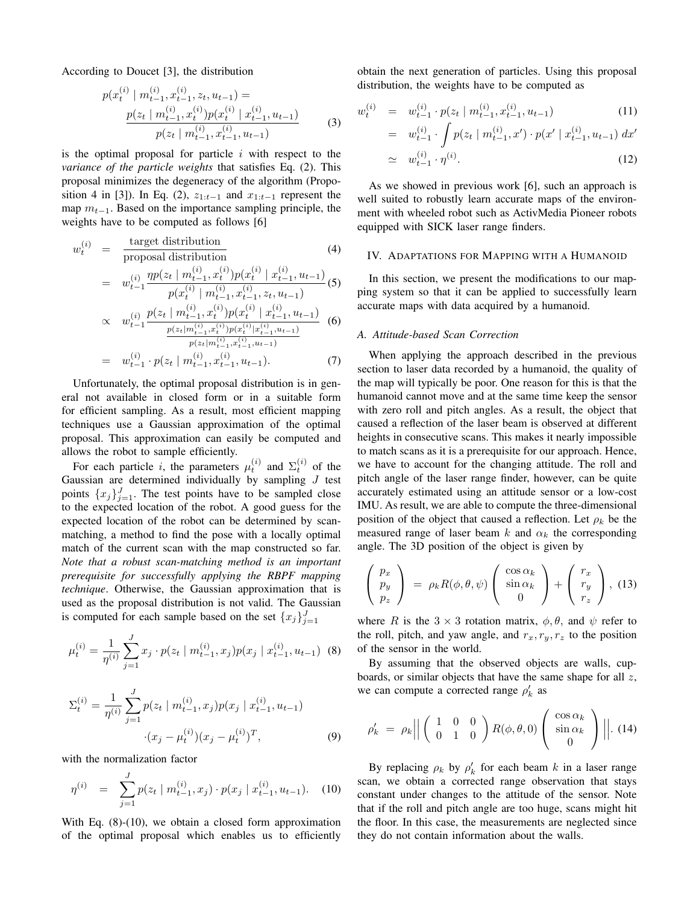According to Doucet [3], the distribution

$$
p(x_t^{(i)} \mid m_{t-1}^{(i)}, x_{t-1}^{(i)}, z_t, u_{t-1}) =
$$
  
\n
$$
\frac{p(z_t \mid m_{t-1}^{(i)}, x_t^{(i)}) p(x_t^{(i)} \mid x_{t-1}^{(i)}, u_{t-1})}{p(z_t \mid m_{t-1}^{(i)}, x_{t-1}^{(i)}, u_{t-1})}
$$
 (3)

is the optimal proposal for particle  $i$  with respect to the *variance of the particle weights* that satisfies Eq. (2). This proposal minimizes the degeneracy of the algorithm (Proposition 4 in [3]). In Eq. (2),  $z_{1:t-1}$  and  $x_{1:t-1}$  represent the map  $m_{t-1}$ . Based on the importance sampling principle, the weights have to be computed as follows [6]

$$
w_t^{(i)} = \frac{\text{target distribution}}{\text{proposal distribution}} \qquad (4)
$$
  
\n
$$
= w_{t-1}^{(i)} \frac{\eta p(z_t \mid m_{t-1}^{(i)}, x_t^{(i)}) p(x_t^{(i} \mid x_{t-1}^{(i)}, u_{t-1})}{p(x_t^{(i)} \mid m_{t-1}^{(i)}, x_{t-1}^{(i)}, z_t, u_{t-1})} \qquad (5)
$$
  
\n
$$
\propto w_{t-1}^{(i)} \frac{p(z_t \mid m_{t-1}^{(i)}, x_t^{(i)}) p(x_t^{(i} \mid x_{t-1}^{(i)}, u_{t-1})}{p(z_t \mid m_{t-1}^{(i)}, x_t^{(i)}) p(x_t^{(i)} \mid x_{t-1}^{(i)}, u_{t-1})} \qquad (6)
$$
  
\n
$$
= w_{t-1}^{(i)} \cdot p(z_t \mid m_{t-1}^{(i)}, x_{t-1}^{(i)}, u_{t-1}). \qquad (7)
$$

Unfortunately, the optimal proposal distribution is in general not available in closed form or in a suitable form for efficient sampling. As a result, most efficient mapping techniques use a Gaussian approximation of the optimal proposal. This approximation can easily be computed and allows the robot to sample efficiently.

For each particle *i*, the parameters  $\mu_t^{(i)}$  and  $\Sigma_t^{(i)}$  of the Gaussian are determined individually by sampling  $J$  test points  ${x_j}_{j=1}^J$ . The test points have to be sampled close to the expected location of the robot. A good guess for the expected location of the robot can be determined by scanmatching, a method to find the pose with a locally optimal match of the current scan with the map constructed so far. *Note that a robust scan-matching method is an important prerequisite for successfully applying the RBPF mapping technique*. Otherwise, the Gaussian approximation that is used as the proposal distribution is not valid. The Gaussian is computed for each sample based on the set  ${x_j}_{j=1}^J$ 

$$
\mu_t^{(i)} = \frac{1}{\eta^{(i)}} \sum_{j=1}^J x_j \cdot p(z_t \mid m_{t-1}^{(i)}, x_j) p(x_j \mid x_{t-1}^{(i)}, u_{t-1}) \tag{8}
$$

$$
\Sigma_t^{(i)} = \frac{1}{\eta^{(i)}} \sum_{j=1}^J p(z_t \mid m_{t-1}^{(i)}, x_j) p(x_j \mid x_{t-1}^{(i)}, u_{t-1})
$$

$$
\cdot (x_j - \mu_t^{(i)}) (x_j - \mu_t^{(i)})^T, \tag{9}
$$

with the normalization factor

$$
\eta^{(i)} = \sum_{j=1}^{J} p(z_t \mid m_{t-1}^{(i)}, x_j) \cdot p(x_j \mid x_{t-1}^{(i)}, u_{t-1}). \quad (10)
$$

With Eq.  $(8)-(10)$ , we obtain a closed form approximation of the optimal proposal which enables us to efficiently obtain the next generation of particles. Using this proposal distribution, the weights have to be computed as

$$
w_t^{(i)} = w_{t-1}^{(i)} \cdot p(z_t \mid m_{t-1}^{(i)}, x_{t-1}^{(i)}, u_{t-1}) \tag{11}
$$

$$
= w_{t-1}^{(i)} \cdot \int p(z_t | m_{t-1}^{(i)}, x') \cdot p(x' | x_{t-1}^{(i)}, u_{t-1}) dx'
$$
  

$$
\simeq w_{t-1}^{(i)} \cdot \eta^{(i)}.
$$
 (12)

As we showed in previous work [6], such an approach is well suited to robustly learn accurate maps of the environment with wheeled robot such as ActivMedia Pioneer robots equipped with SICK laser range finders.

## IV. ADAPTATIONS FOR MAPPING WITH A HUMANOID

In this section, we present the modifications to our mapping system so that it can be applied to successfully learn accurate maps with data acquired by a humanoid.

#### *A. Attitude-based Scan Correction*

When applying the approach described in the previous section to laser data recorded by a humanoid, the quality of the map will typically be poor. One reason for this is that the humanoid cannot move and at the same time keep the sensor with zero roll and pitch angles. As a result, the object that caused a reflection of the laser beam is observed at different heights in consecutive scans. This makes it nearly impossible to match scans as it is a prerequisite for our approach. Hence, we have to account for the changing attitude. The roll and pitch angle of the laser range finder, however, can be quite accurately estimated using an attitude sensor or a low-cost IMU. As result, we are able to compute the three-dimensional position of the object that caused a reflection. Let  $\rho_k$  be the measured range of laser beam k and  $\alpha_k$  the corresponding angle. The 3D position of the object is given by

$$
\begin{pmatrix} p_x \\ p_y \\ p_z \end{pmatrix} = \rho_k R(\phi, \theta, \psi) \begin{pmatrix} \cos \alpha_k \\ \sin \alpha_k \\ 0 \end{pmatrix} + \begin{pmatrix} r_x \\ r_y \\ r_z \end{pmatrix}, (13)
$$

where R is the  $3 \times 3$  rotation matrix,  $\phi$ ,  $\theta$ , and  $\psi$  refer to the roll, pitch, and yaw angle, and  $r_x, r_y, r_z$  to the position of the sensor in the world.

By assuming that the observed objects are walls, cupboards, or similar objects that have the same shape for all  $z$ , we can compute a corrected range  $\rho'_{k}$  as

$$
\rho'_k = \rho_k \left| \left| \begin{pmatrix} 1 & 0 & 0 \\ 0 & 1 & 0 \end{pmatrix} R(\phi, \theta, 0) \begin{pmatrix} \cos \alpha_k \\ \sin \alpha_k \\ 0 \end{pmatrix} \right| \right| . (14)
$$

By replacing  $\rho_k$  by  $\rho'_k$  for each beam k in a laser range scan, we obtain a corrected range observation that stays constant under changes to the attitude of the sensor. Note that if the roll and pitch angle are too huge, scans might hit the floor. In this case, the measurements are neglected since they do not contain information about the walls.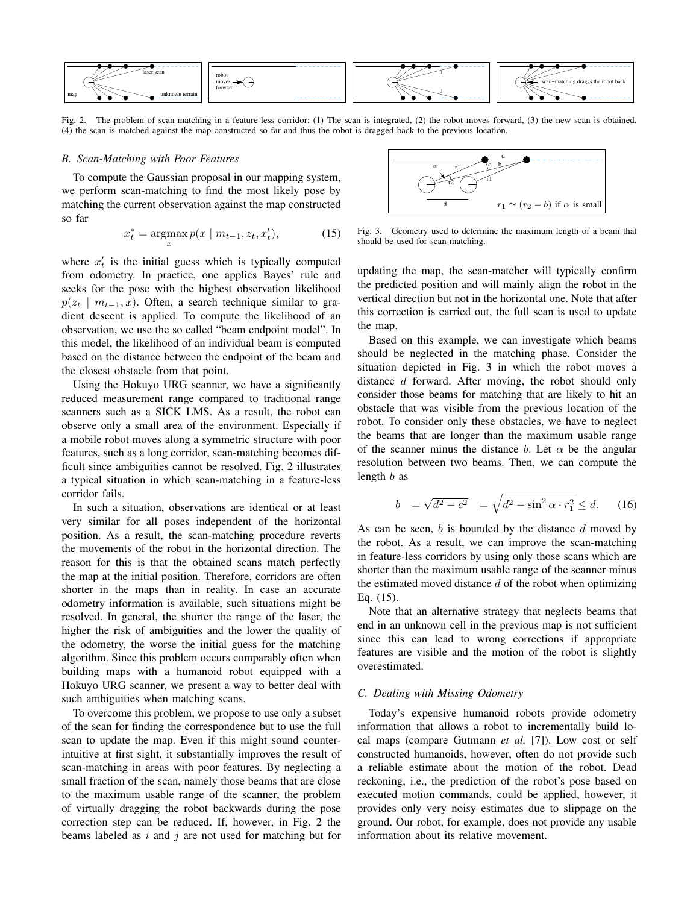

Fig. 2. The problem of scan-matching in a feature-less corridor: (1) The scan is integrated, (2) the robot moves forward, (3) the new scan is obtained, (4) the scan is matched against the map constructed so far and thus the robot is dragged back to the previous location.

#### *B. Scan-Matching with Poor Features*

To compute the Gaussian proposal in our mapping system, we perform scan-matching to find the most likely pose by matching the current observation against the map constructed so far

$$
x_t^* = \underset{x}{\text{argmax}} \, p(x \mid m_{t-1}, z_t, x_t'), \tag{15}
$$

where  $x'_t$  is the initial guess which is typically computed from odometry. In practice, one applies Bayes' rule and seeks for the pose with the highest observation likelihood  $p(z_t | m_{t-1}, x)$ . Often, a search technique similar to gradient descent is applied. To compute the likelihood of an observation, we use the so called "beam endpoint model". In this model, the likelihood of an individual beam is computed based on the distance between the endpoint of the beam and the closest obstacle from that point.

Using the Hokuyo URG scanner, we have a significantly reduced measurement range compared to traditional range scanners such as a SICK LMS. As a result, the robot can observe only a small area of the environment. Especially if a mobile robot moves along a symmetric structure with poor features, such as a long corridor, scan-matching becomes difficult since ambiguities cannot be resolved. Fig. 2 illustrates a typical situation in which scan-matching in a feature-less corridor fails.

In such a situation, observations are identical or at least very similar for all poses independent of the horizontal position. As a result, the scan-matching procedure reverts the movements of the robot in the horizontal direction. The reason for this is that the obtained scans match perfectly the map at the initial position. Therefore, corridors are often shorter in the maps than in reality. In case an accurate odometry information is available, such situations might be resolved. In general, the shorter the range of the laser, the higher the risk of ambiguities and the lower the quality of the odometry, the worse the initial guess for the matching algorithm. Since this problem occurs comparably often when building maps with a humanoid robot equipped with a Hokuyo URG scanner, we present a way to better deal with such ambiguities when matching scans.

To overcome this problem, we propose to use only a subset of the scan for finding the correspondence but to use the full scan to update the map. Even if this might sound counterintuitive at first sight, it substantially improves the result of scan-matching in areas with poor features. By neglecting a small fraction of the scan, namely those beams that are close to the maximum usable range of the scanner, the problem of virtually dragging the robot backwards during the pose correction step can be reduced. If, however, in Fig. 2 the beams labeled as  $i$  and  $j$  are not used for matching but for



Fig. 3. Geometry used to determine the maximum length of a beam that should be used for scan-matching.

updating the map, the scan-matcher will typically confirm the predicted position and will mainly align the robot in the vertical direction but not in the horizontal one. Note that after this correction is carried out, the full scan is used to update the map.

Based on this example, we can investigate which beams should be neglected in the matching phase. Consider the situation depicted in Fig. 3 in which the robot moves a distance d forward. After moving, the robot should only consider those beams for matching that are likely to hit an obstacle that was visible from the previous location of the robot. To consider only these obstacles, we have to neglect the beams that are longer than the maximum usable range of the scanner minus the distance b. Let  $\alpha$  be the angular resolution between two beams. Then, we can compute the length  $b$  as

$$
b = \sqrt{d^2 - c^2} = \sqrt{d^2 - \sin^2 \alpha \cdot r_1^2} \le d. \quad (16)
$$

As can be seen,  $b$  is bounded by the distance  $d$  moved by the robot. As a result, we can improve the scan-matching in feature-less corridors by using only those scans which are shorter than the maximum usable range of the scanner minus the estimated moved distance  $d$  of the robot when optimizing Eq. (15).

Note that an alternative strategy that neglects beams that end in an unknown cell in the previous map is not sufficient since this can lead to wrong corrections if appropriate features are visible and the motion of the robot is slightly overestimated.

## *C. Dealing with Missing Odometry*

Today's expensive humanoid robots provide odometry information that allows a robot to incrementally build local maps (compare Gutmann *et al.* [7]). Low cost or self constructed humanoids, however, often do not provide such a reliable estimate about the motion of the robot. Dead reckoning, i.e., the prediction of the robot's pose based on executed motion commands, could be applied, however, it provides only very noisy estimates due to slippage on the ground. Our robot, for example, does not provide any usable information about its relative movement.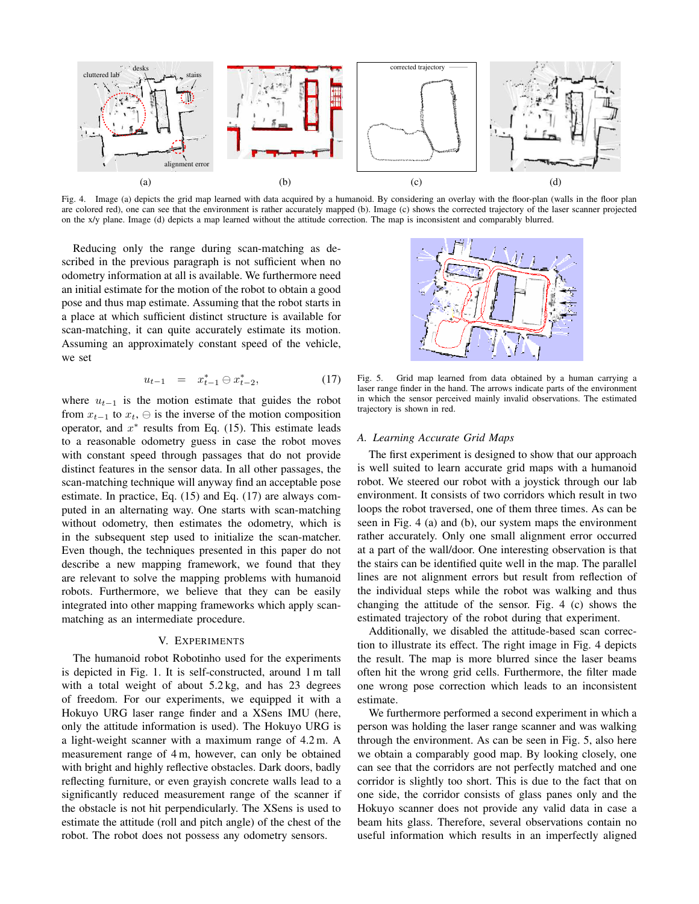

Fig. 4. Image (a) depicts the grid map learned with data acquired by a humanoid. By considering an overlay with the floor-plan (walls in the floor plan are colored red), one can see that the environment is rather accurately mapped (b). Image (c) shows the corrected trajectory of the laser scanner projected on the x/y plane. Image (d) depicts a map learned without the attitude correction. The map is inconsistent and comparably blurred.

Reducing only the range during scan-matching as described in the previous paragraph is not sufficient when no odometry information at all is available. We furthermore need an initial estimate for the motion of the robot to obtain a good pose and thus map estimate. Assuming that the robot starts in a place at which sufficient distinct structure is available for scan-matching, it can quite accurately estimate its motion. Assuming an approximately constant speed of the vehicle, we set

$$
u_{t-1} = x_{t-1}^* \ominus x_{t-2}^*, \tag{17}
$$

where  $u_{t-1}$  is the motion estimate that guides the robot from  $x_{t-1}$  to  $x_t$ ,  $\ominus$  is the inverse of the motion composition operator, and  $x^*$  results from Eq. (15). This estimate leads to a reasonable odometry guess in case the robot moves with constant speed through passages that do not provide distinct features in the sensor data. In all other passages, the scan-matching technique will anyway find an acceptable pose estimate. In practice, Eq. (15) and Eq. (17) are always computed in an alternating way. One starts with scan-matching without odometry, then estimates the odometry, which is in the subsequent step used to initialize the scan-matcher. Even though, the techniques presented in this paper do not describe a new mapping framework, we found that they are relevant to solve the mapping problems with humanoid robots. Furthermore, we believe that they can be easily integrated into other mapping frameworks which apply scanmatching as an intermediate procedure.

## V. EXPERIMENTS

The humanoid robot Robotinho used for the experiments is depicted in Fig. 1. It is self-constructed, around 1 m tall with a total weight of about 5.2 kg, and has 23 degrees of freedom. For our experiments, we equipped it with a Hokuyo URG laser range finder and a XSens IMU (here, only the attitude information is used). The Hokuyo URG is a light-weight scanner with a maximum range of 4.2 m. A measurement range of 4 m, however, can only be obtained with bright and highly reflective obstacles. Dark doors, badly reflecting furniture, or even grayish concrete walls lead to a significantly reduced measurement range of the scanner if the obstacle is not hit perpendicularly. The XSens is used to estimate the attitude (roll and pitch angle) of the chest of the robot. The robot does not possess any odometry sensors.

Fig. 5. Grid map learned from data obtained by a human carrying a laser range finder in the hand. The arrows indicate parts of the environment in which the sensor perceived mainly invalid observations. The estimated trajectory is shown in red.

## *A. Learning Accurate Grid Maps*

The first experiment is designed to show that our approach is well suited to learn accurate grid maps with a humanoid robot. We steered our robot with a joystick through our lab environment. It consists of two corridors which result in two loops the robot traversed, one of them three times. As can be seen in Fig. 4 (a) and (b), our system maps the environment rather accurately. Only one small alignment error occurred at a part of the wall/door. One interesting observation is that the stairs can be identified quite well in the map. The parallel lines are not alignment errors but result from reflection of the individual steps while the robot was walking and thus changing the attitude of the sensor. Fig. 4 (c) shows the estimated trajectory of the robot during that experiment.

Additionally, we disabled the attitude-based scan correction to illustrate its effect. The right image in Fig. 4 depicts the result. The map is more blurred since the laser beams often hit the wrong grid cells. Furthermore, the filter made one wrong pose correction which leads to an inconsistent estimate.

We furthermore performed a second experiment in which a person was holding the laser range scanner and was walking through the environment. As can be seen in Fig. 5, also here we obtain a comparably good map. By looking closely, one can see that the corridors are not perfectly matched and one corridor is slightly too short. This is due to the fact that on one side, the corridor consists of glass panes only and the Hokuyo scanner does not provide any valid data in case a beam hits glass. Therefore, several observations contain no useful information which results in an imperfectly aligned